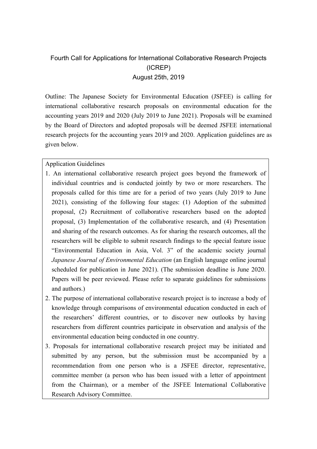## Fourth Call for Applications for International Collaborative Research Projects (ICREP) August 25th, 2019

Outline: The Japanese Society for Environmental Education (JSFEE) is calling for international collaborative research proposals on environmental education for the accounting years 2019 and 2020 (July 2019 to June 2021). Proposals will be examined by the Board of Directors and adopted proposals will be deemed JSFEE international research projects for the accounting years 2019 and 2020. Application guidelines are as given below.

## Application Guidelines

- 1. An international collaborative research project goes beyond the framework of individual countries and is conducted jointly by two or more researchers. The proposals called for this time are for a period of two years (July 2019 to June 2021), consisting of the following four stages: (1) Adoption of the submitted proposal, (2) Recruitment of collaborative researchers based on the adopted proposal, (3) Implementation of the collaborative research, and (4) Presentation and sharing of the research outcomes. As for sharing the research outcomes, all the researchers will be eligible to submit research findings to the special feature issue "Environmental Education in Asia, Vol. 3" of the academic society journal *Japanese Journal of Environmental Education* (an English language online journal scheduled for publication in June 2021). (The submission deadline is June 2020. Papers will be peer reviewed. Please refer to separate guidelines for submissions and authors.)
- 2. The purpose of international collaborative research project is to increase a body of knowledge through comparisons of environmental education conducted in each of the researchers' different countries, or to discover new outlooks by having researchers from different countries participate in observation and analysis of the environmental education being conducted in one country.
- 3. Proposals for international collaborative research project may be initiated and submitted by any person, but the submission must be accompanied by a recommendation from one person who is a JSFEE director, representative, committee member (a person who has been issued with a letter of appointment from the Chairman), or a member of the JSFEE International Collaborative Research Advisory Committee.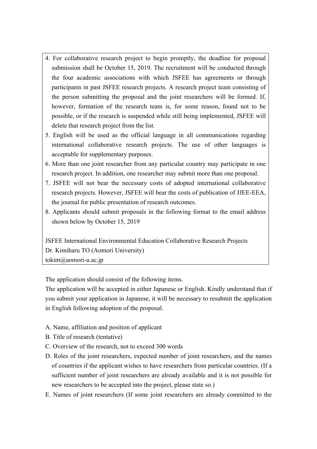- 4. For collaborative research project to begin promptly, the deadline for proposal submission shall be October 15, 2019. The recruitment will be conducted through the four academic associations with which JSFEE has agreements or through participants in past JSFEE research projects. A research project team consisting of the person submitting the proposal and the joint researchers will be formed. If, however, formation of the research team is, for some reason, found not to be possible, or if the research is suspended while still being implemented, JSFEE will delete that research project from the list.
- 5. English will be used as the official language in all communications regarding international collaborative research projects. The use of other languages is acceptable for supplementary purposes.
- 6. More than one joint researcher from any particular country may participate in one research project. In addition, one researcher may submit more than one proposal.
- 7. JSFEE will not bear the necessary costs of adopted international collaborative research projects. However, JSFEE will bear the costs of publication of JJEE-EEA, the journal for public presentation of research outcomes.
- 8. Applicants should submit proposals in the following format to the email address shown below by October 15, 2019

JSFEE International Environmental Education Collaborative Research Projects Dr. Kimiharu TO (Aomori University) tokim@aomori-u.ac.jp

The application should consist of the following items.

The application will be accepted in either Japanese or English. Kindly understand that if you submit your application in Japanese, it will be necessary to resubmit the application in English following adoption of the proposal.

- A. Name, affiliation and position of applicant
- B. Title of research (tentative)
- C. Overview of the research, not to exceed 300 words
- D. Roles of the joint researchers, expected number of joint researchers, and the names of countries if the applicant wishes to have researchers from particular countries. (If a sufficient number of joint researchers are already available and it is not possible for new researchers to be accepted into the project, please state so.)
- E. Names of joint researchers (If some joint researchers are already committed to the